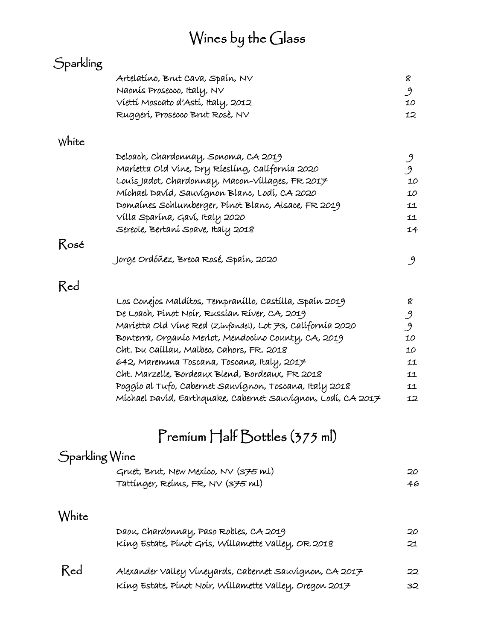# Wines by the Glass

|                | Artelatíno, Brut Cava, Spaín, NV                                                              |  |
|----------------|-----------------------------------------------------------------------------------------------|--|
|                | Naonis Prosecco, Italy, NV                                                                    |  |
|                | Víettí Moscato d'Astí, Italy, 2012                                                            |  |
|                | Ruggerí, Prosecco Brut Rosè, NV                                                               |  |
| White          |                                                                                               |  |
|                | Deloach, Chardonnay, Sonoma, CA 2019                                                          |  |
|                | Maríetta Old Vine, Dry Ríeslíng, Calífornía 2020                                              |  |
|                | Louis Jadot, Chardonnay, Macon-Villages, FR 2017                                              |  |
|                | Míchael David, Sauvignon Blanc, Lodí, CA 2020                                                 |  |
|                | Domaines Schlumberger, Pinot Blanc, Alsace, FR 2019                                           |  |
|                | Villa Sparina, Gavi, Italy 2020                                                               |  |
|                | Sereole, Bertaní Soave, Italy 2018                                                            |  |
| Rosé           |                                                                                               |  |
|                | Jorge Ordóñez, Breca Rosé, Spaín, 2020                                                        |  |
| Red            |                                                                                               |  |
|                | Los Conejos Maldítos, Tempraníllo, Castílla, Spaín 2019                                       |  |
|                | De Loach, Pinot Noir, Russian River, CA, 2019                                                 |  |
|                | Maríetta Old Vine Red (Zinfandel), Lot 73, Californía 2020                                    |  |
|                | Bonterra, Organíc Merlot, Mendocíno County, CA, 2019                                          |  |
|                | Cht. Du Caillau, Malbec, Cahors, FR. 2018                                                     |  |
|                | 642, Maremma Toscana, Toscana, Italy, 2017                                                    |  |
|                | Cht. Marzelle, Bordeaux Blend, Bordeaux, FR 2018                                              |  |
|                | Poggío al Tufo, Cabernet Sauvignon, Toscana, Italy 2018                                       |  |
|                | Míchael Davíd, Earthquake, Cabernet Sauvignon, Lodí, CA 2017                                  |  |
|                |                                                                                               |  |
|                |                                                                                               |  |
| Sparkling Wine | Premium Half Bottles (375 ml)                                                                 |  |
|                |                                                                                               |  |
|                | Gruet, Brut, New Mexico, NV (375 ml)<br>Tattinger, Reims, FR, NV (375 ml)                     |  |
|                |                                                                                               |  |
| White          |                                                                                               |  |
|                | Daou, Chardonnay, Paso Robles, CA 2019<br>Kíng Estate, Pínot Grís, Willamette Valley, OR 2018 |  |
| Red            | Alexander Valley Vineyards, Cabernet Sauvignon, CA 2017                                       |  |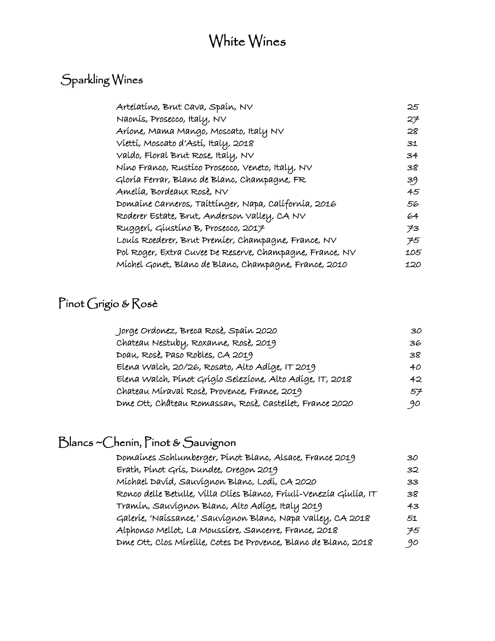### White Wines

#### Sparkling Wines

| Artelatíno, Brut Cava, Spaín, NV                         | 25  |
|----------------------------------------------------------|-----|
| Naonis, Prosecco, Italy, NV                              | 27  |
| Aríone, Mama Mango, Moscato, Italy NV                    | 28  |
| Víettí, Moscato d'Astí, Italy, 2018                      | 31  |
| Valdo, Floral Brut Rose, Italy, NV                       | 34  |
| Níno Franco, Rustíco Prosecco, Veneto, Italy, NV         | 38  |
| Gloría Ferrar, Blanc de Blanc, Champagne, FR             | 39  |
| Amelía, Bordeaux Rosè, NV                                | 45  |
| Domaine Carneros, Taittinger, Napa, California, 2016     | 56  |
| Roderer Estate, Brut, Anderson Valley, CA NV             | 64  |
| Ruggerí, Gíustíno B, Prosecco, 2017                      | 73  |
| Louis Roederer, Brut Premier, Champagne, France, NV      | 75  |
| Pol Roger, Extra Cuvee De Reserve, Champagne, France, NV | 105 |
| Míchel Gonet, Blanc de Blanc, Champagne, France, 2010    | 120 |
|                                                          |     |

#### Pinot Grigio & Rosè

| Jorge Ordonez, Breca Rosè, Spaín 2020                     | 30  |
|-----------------------------------------------------------|-----|
| Chateau Nestuby, Roxanne, Rosè, 2019                      | 36  |
| DOAU, ROSE, PASO RODLES, CA 2019                          | 38  |
| Elena Walch, 20/26, Rosato, Alto Adíge, IT 2019           | 40  |
| Elena Walch, Pínot Grígío Selezíone, Alto Adíge, IT, 2018 | 42. |
| Chateau Míraval Rosè, Provence, France, 2019              | 57  |
| Dme Ott, Château Romassan, Rose, Castellet, France 2020   | 90  |

#### Blancs ~Chenin, Pinot & Sauvignon

| Domaines Schlumberger, Pinot Blanc, Alsace, France 2019            | 30 |
|--------------------------------------------------------------------|----|
| Erath, Pinot Gris, Dundee, Oregon 2019                             | 32 |
| Míchael Davíd, Sauvignon Blanc, Lodí, CA 2020                      | 33 |
| Ronco delle Betulle, Villa Olíes Bíanco, Fríulí-Venezía Gíulía, IT | 38 |
| Tramín, Sauvígnon Blanc, Alto Adíge, Italy 2019                    | 43 |
| Galeríe, 'Naíssance,' Sauvignon Blanc, Napa Valley, CA 2018        | 51 |
| Alphonso Mellot, La Moussíere, Sancerre, France, 2018              | 75 |
| Die Ott, Clos Mireille, Cotes De Provence, Blanc de Blanc, 2018    | 90 |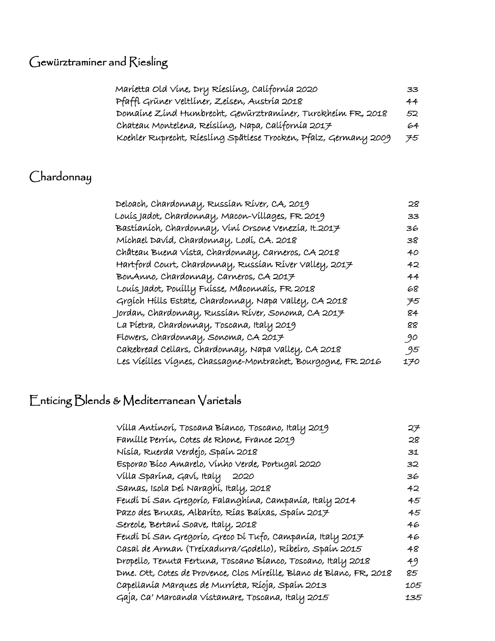### Gewürztraminer and Riesling

| Maríetta Old Vine, Dry Ríeslíng, Calífornía 2020                 | 33. |
|------------------------------------------------------------------|-----|
| Pfaffl Grüner Veltliner, Zeisen, Austria 2018                    | 44  |
| Domaine Zind Humbrecht, Gewürztraminer, Turckheim FR, 2018       | 52  |
| Chateau Montelena, Reisling, Napa, California 2017               | 64  |
| Koehler Ruprecht, Riesling Spätlese Trocken, Pfalz, Germany 2009 | 75  |

#### Chardonnay

| Deloach, Chardonnay, Russian River, CA, 2019                  | 28  |
|---------------------------------------------------------------|-----|
| Louís Jadot, Chardonnay, Macon-Villages, FR 2019              | 33  |
| Bastíaních, Chardonnay, Víní Orsone Venezía, It.2017          | 36  |
| Míchael Davíd, Chardonnay, Lodí, CA. 2018                     | 38  |
| Château Buena Vista, Chardonnay, Carneros, CA 2018            | 40  |
| Hartford Court, Chardonnay, Russian River Valley, 2017        | 42  |
| BonAnno, Chardonnay, Carneros, CA 2017                        | 44  |
| Louis Jadot, Pouilly Fuisse, Mâconnais, FR 2018               | 68  |
| Grgích Hills Estate, Chardonnay, Napa Valley, CA 2018         | 75  |
| Jordan, Chardonnay, Russían Ríver, Sonoma, CA 2017            | 84  |
| La Píetra, Chardonnay, Toscana, Italy 2019                    | 88  |
| Flowers, Chardonnay, Sonoma, CA 2017                          | 90  |
| Cakebread Cellars, Chardonnay, Napa Valley, CA 2018           | 95  |
| Les Vieilles Vignes, Chassagne-Montrachet, Bourgogne, FR 2016 | 170 |
|                                                               |     |

### Enticing Blends & Mediterranean Varietals

| Vílla Antínorí, Toscana Bíanco, Toscano, Italy 2019                  | 27  |
|----------------------------------------------------------------------|-----|
| Famílle Perrín, Cotes de Rhone, France 2019                          | 28  |
| Nísía, Ruerda Verdejo, Spaín 2018                                    | 31  |
| Esporao Bíco Amarelo, Vínho Verde, Portugal 2020                     | 32  |
| Vílla Sparína, Gaví, Italy<br>2020                                   | 36  |
| Samas, Isola Deí Naraghí, Italy, 2018                                | 42  |
| Feudí Dí San Gregorío, Falanghína, Campanía, Italy 2014              | 45  |
| Pazo des Bruxas, Albaríto, Rías Baíxas, Spaín 2017                   | 45  |
| Sereole, Bertaní Soave, Italy, 2018                                  | 46  |
| Feudí Dí San Gregorío, Greco Dí Tufo, Campanía, Italy 2017           | 46  |
| Casal de Arman (Treíxadurra/Godello), Ríbeíro, Spaín 2015            | 48  |
| Dropello, Tenuta Fertuna, Toscano Bíanco, Toscano, Italy 2018        | 49  |
| Dme. Ott, Cotes de Provence, Clos Míreílle, Blanc de Blanc, FR, 2018 | 85  |
| Capellanía Marques de Murríeta, Ríoja, Spaín 2013                    | 105 |
| Gaja, Ca' Marcanda Vistamare, Toscana, Italy 2015                    | 135 |
|                                                                      |     |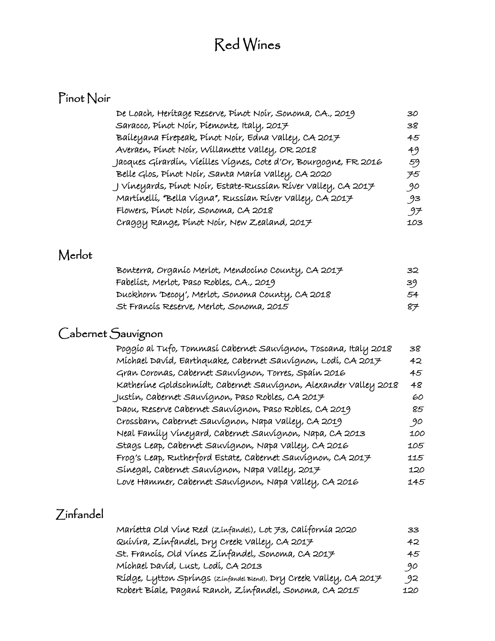## Red Wines

### Pinot Noir

| De Loach, Heritage Reserve, Pinot Noir, Sonoma, CA., 2019        | 30  |
|------------------------------------------------------------------|-----|
| Saracco, Pínot Noír, Píemonte, Italy, 2017                       | 38  |
| Baíleyana Fírepeak, Pínot Noír, Edna Valley, CA 2017             | 45  |
| Averaen, Pinot Noir, Willamette Valley, OR 2018                  | 49  |
| Jacques Gírardín, Vieílles Vígnes, Cote d'Or, Bourgogne, FR 2016 | 59  |
| Belle Glos, Pínot Noír, Santa María Valley, CA 2020              | 75  |
| J Víneyards, Pínot Noír, Estate-Russían Ríver Valley, CA 2017    | 90  |
| Martínellí, "Bella Vígna", Russían Ríver Valley, CA 2017         | 93  |
| Flowers, Pinot Noir, Sonoma, CA 2018                             | ゥチ  |
| Craggy Range, Pinot Noir, New Zealand, 2017                      | 103 |
|                                                                  |     |

#### Merlot

| Bonterra, Organíc Merlot, Mendocíno County, CA 2017 | 32. |
|-----------------------------------------------------|-----|
| Fabelist, Merlot, Paso Robles, CA., 2019            | 39  |
| Duckhorn 'Decoy', Merlot, Sonoma County, CA 2018    | 54  |
| St Francis Reserve, Merlot, Sonoma, 2015            | 87. |

#### Cabernet Sauvignon

| Poggío al Tufo, Tommasí Cabernet Sauvignon, Toscana, Italy 2018  | 38  |
|------------------------------------------------------------------|-----|
| Míchael Davíd, Earthquake, Cabernet Sauvignon, Lodí, CA 2017     | 42  |
| Gran Coronas, Cabernet Sauvignon, Torres, Spaín 2016             | 45  |
| Katheríne Goldschmídt, Cabernet Sauvignon, Alexander Valley 2018 | 48  |
| Justín, Cabernet Sauvígnon, Paso Robles, CA 2017                 | 60  |
| Daou, Reserve Cabernet Sauvignon, Paso Robles, CA 2019           | 85  |
| Crossbarn, Cabernet Sauvignon, Napa Valley, CA 2019              | 90  |
| Neal Famíly Vineyard, Cabernet Sauvignon, Napa, CA 2013          | 100 |
| Stags Leap, Cabernet Sauvignon, Napa Valley, CA 2016             | 105 |
| Frog's Leap, Rutherford Estate, Cabernet Sauvignon, CA 2017      | 115 |
| Sínegal, Cabernet Sauvignon, Napa Valley, 2017                   | 120 |
| Love Hammer, Cabernet Sauvignon, Napa Valley, CA 2016            | 145 |

#### Zinfandel

| Maríetta Old Víne Red (Zinfandel), Lot 73, Calífornía 2020         | 33  |
|--------------------------------------------------------------------|-----|
| Quívira, Zínfandel, Dry Creek Valley, CA 2017                      | 42. |
| St. Francis, Old Vines Zinfandel, Sonoma, CA 2017                  | 45  |
| Míchael Davíd, Lust, Lodí, CA 2013                                 | 90  |
| Rídge, Lytton Spríngs (zinfandel Blend), Dry Creek Valley, CA 2017 | 92  |
| Robert Bíale, Paganí Ranch, Zínfandel, Sonoma, CA 2015             | 120 |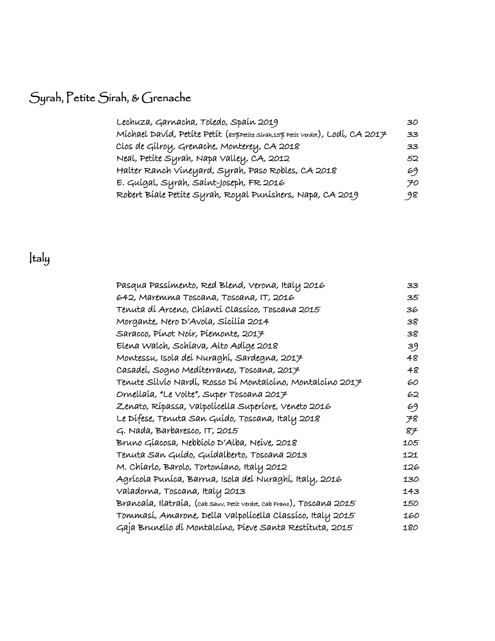## Syrah, Petite Sirah, & Grenache

| Lechuza, Garnacha, Toledo, Spaín 2019                                          | 30.             |
|--------------------------------------------------------------------------------|-----------------|
| Michael David, Petite Petit (85% petite sirah,15% petit verdot), Lodi, CA 2017 | 33 <sub>1</sub> |
| Clos de Gílroy, Grenache, Monterey, CA 2018                                    | 33              |
| Neal, Petite Syrah, Napa Valley, CA, 2012                                      | 52.             |
| Halter Ranch Vineyard, Syrah, Paso Robles, CA 2018                             | 69              |
| E. Guígal, Syrah, Saínt-Joseph, FR 2016                                        | 70              |
| Robert Bíale Petíte Syrah, Royal Puníshers, Napa, CA 2019                      | 98              |

## Italy

| Pasqua Passímento, Red Blend, Verona, Italy 2016                      | 33  |
|-----------------------------------------------------------------------|-----|
| 642, Maremma Toscana, Toscana, IT, 2016                               | 35  |
| Tenuta dí Arceno, Chíantí Classíco, Toscana 2015                      | 36  |
| Morgante, Nero D'Avola, Sícílía 2014                                  | 38  |
| Saracco, Pínot Noír, Píemonte, 2017                                   | 38  |
| Elena Walch, Schiava, Alto Adige 2018                                 | 39  |
| Montessu, Isola deí Nuraghí, Sardegna, 2017                           | 48  |
| Casadeí, Sogno Medíterraneo, Toscana, 2017                            | 48  |
| Tenute Sílvío Nardí, Rosso Dí Montalcíno, Montalcíno 2017             | 60  |
| Ornellaía, "Le Volte", Super Toscana 2017                             | 62  |
| Zenato, Rípassa, Valpolícella Superíore, Veneto 2016                  | 69  |
| Le Dífese, Tenuta San Guído, Toscana, Italy 2018                      | 78  |
| $G.$ Nada, Barbaresco, IT, 2015                                       | 87  |
| Bruno Gíacosa, Nebbíolo D'Alba, Neíve, 2018                           | 105 |
| Tenuta San Guído, Guídalberto, Toscana 2013                           | 121 |
| M. Chíarlo, Barolo, Tortoníano, Italy 2012                            | 126 |
| Agrícola Puníca, Barrua, Isola deí Nuraghí, Italy, 2016               | 130 |
| Valadorna, Toscana, Italy 2013                                        | 143 |
| Brancaía, Ilatraía, (cab sauv, petit verdot, cab Franc), Toscana 2015 | 150 |
| Tommasí, Amarone, Della Valpolícella Classíco, Italy 2015             | 160 |
| Gaja Brunello di Montalcino, Pieve Santa Restituta, 2015              | 180 |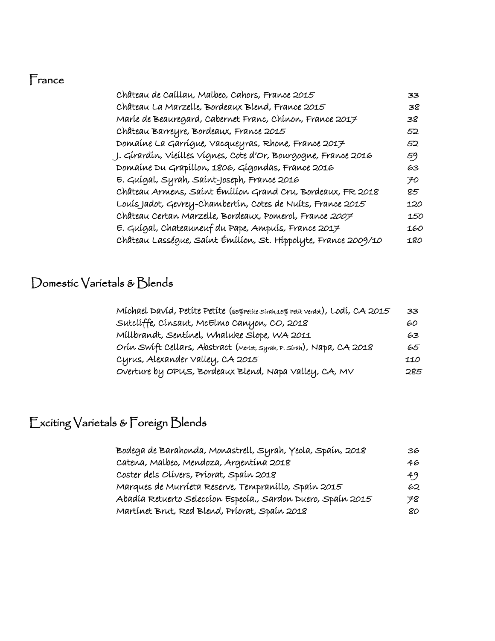#### France

| Château de Caíllau, Malbec, Cahors, France 2015                 | 33  |
|-----------------------------------------------------------------|-----|
| Château La Marzelle, Bordeaux Blend, France 2015                | 38  |
| Maríe de Beauregard, Cabernet Franc, Chínon, France 2017        | 38  |
| Château Barreyre, Bordeaux, France 2015                         | 52  |
| Domaíne La Garrígue, Vacqueyras, Rhone, France 2017             | 52  |
| J. Gírardín, Víeílles Vígnes, Cote d'Or, Bourgogne, France 2016 | 59  |
| Domaíne Du Grapíllon, 1806, Gígondas, France 2016               | 63  |
| E. Guígal, Syrah, Saínt-Joseph, France 2016                     | 70  |
| Château Armens, Saint Émilion Grand Cru, Bordeaux, FR 2018      | 85  |
| Louís Jadot, Gevrey-Chambertín, Cotes de Nuíts, France 2015     | 120 |
| Château Certan Marzelle, Bordeaux, Pomerol, France 2007         | 150 |
| E. Guígal, Chateauneuf du Pape, Ampuís, France 2017             | 160 |
| Château Lasségue, Saínt Émílíon, St. Hippolyte, France 2009/10  | 180 |
|                                                                 |     |

#### Domestic Varietals & Blends

| Míchael Davíd, Petíte Petíte (eszpetite sirah,15% petit verdot), Lodí, CA 2015 | 33  |
|--------------------------------------------------------------------------------|-----|
| Sutclíffe, Cínsaut, McElmo Canyon, CO, 2018                                    | 60  |
| Millbrandt, Sentinel, Whaluke Slope, WA 2011                                   | 63  |
| Orín Swíft Cellars, Abstract (Merlot, syrah, P. Sírah), Napa, CA 2018          | 65  |
| Cyrus, Alexander Valley, CA 2015                                               | 110 |
| Overture by OPUS, Bordeaux Blend, Napa Valley, CA, MV                          | 285 |

#### Exciting Varietals & Foreign Blends

| Bodega de Barahonda, Monastrell, Syrah, Yecla, Spaín, 2018   | 36  |
|--------------------------------------------------------------|-----|
| Catena, Malbec, Mendoza, Argentína 2018                      | 46  |
| Coster dels Olívers, Príorat, Spaín 2018                     | 49  |
| Marques de Murríeta Reserve, Tempraníllo, Spaín 2015         | 62  |
| Abadía Retuerto Seleccion Especía., Sardon Duero, Spain 2015 | 78. |
| Martínet Brut, Red Blend, Príorat, Spaín 2018                | 80. |